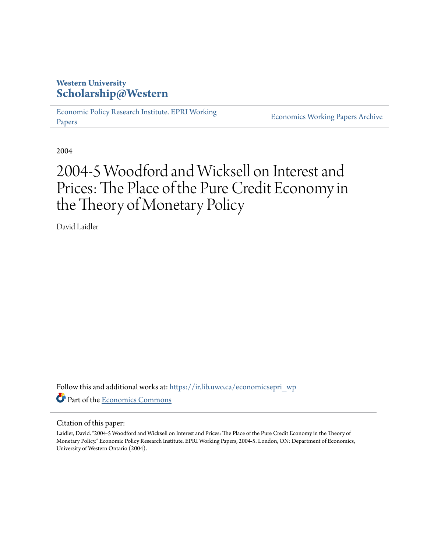### **Western University [Scholarship@Western](https://ir.lib.uwo.ca?utm_source=ir.lib.uwo.ca%2Feconomicsepri_wp%2F17&utm_medium=PDF&utm_campaign=PDFCoverPages)**

[Economic Policy Research Institute. EPRI Working](https://ir.lib.uwo.ca/economicsepri_wp?utm_source=ir.lib.uwo.ca%2Feconomicsepri_wp%2F17&utm_medium=PDF&utm_campaign=PDFCoverPages) [Papers](https://ir.lib.uwo.ca/economicsepri_wp?utm_source=ir.lib.uwo.ca%2Feconomicsepri_wp%2F17&utm_medium=PDF&utm_campaign=PDFCoverPages)

[Economics Working Papers Archive](https://ir.lib.uwo.ca/econwpa?utm_source=ir.lib.uwo.ca%2Feconomicsepri_wp%2F17&utm_medium=PDF&utm_campaign=PDFCoverPages)

2004

# 2004-5 Woodford and Wicksell on Interest and Prices: The Place of the Pure Credit Economy in the Theory of Monetary Policy

David Laidler

Follow this and additional works at: [https://ir.lib.uwo.ca/economicsepri\\_wp](https://ir.lib.uwo.ca/economicsepri_wp?utm_source=ir.lib.uwo.ca%2Feconomicsepri_wp%2F17&utm_medium=PDF&utm_campaign=PDFCoverPages) Part of the [Economics Commons](http://network.bepress.com/hgg/discipline/340?utm_source=ir.lib.uwo.ca%2Feconomicsepri_wp%2F17&utm_medium=PDF&utm_campaign=PDFCoverPages)

#### Citation of this paper:

Laidler, David. "2004-5 Woodford and Wicksell on Interest and Prices: The Place of the Pure Credit Economy in the Theory of Monetary Policy." Economic Policy Research Institute. EPRI Working Papers, 2004-5. London, ON: Department of Economics, University of Western Ontario (2004).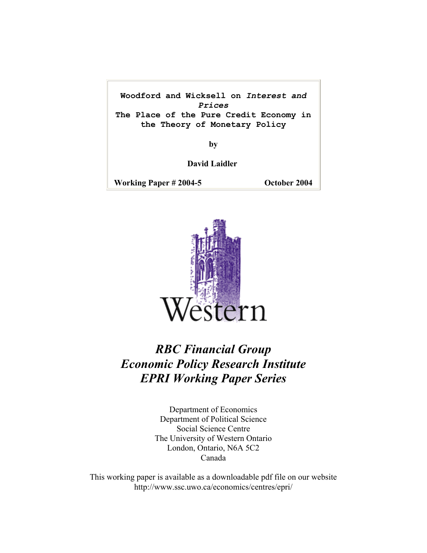**Woodford and Wicksell on** *Interest and Prices* **The Place of the Pure Credit Economy in the Theory of Monetary Policy**

**by**

**David Laidler** 

**Working Paper # 2004-5 October 2004**



## *RBC Financial Group Economic Policy Research Institute EPRI Working Paper Series*

Department of Economics Department of Political Science Social Science Centre The University of Western Ontario London, Ontario, N6A 5C2 Canada

This working paper is available as a downloadable pdf file on our website http://www.ssc.uwo.ca/economics/centres/epri/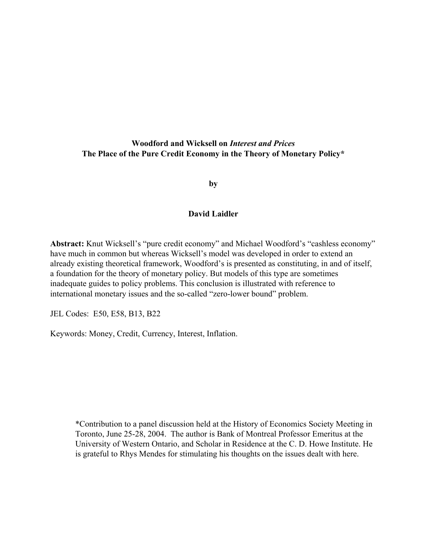#### **Woodford and Wicksell on** *Interest and Prices* **The Place of the Pure Credit Economy in the Theory of Monetary Policy\***

**by**

#### **David Laidler**

Abstract: Knut Wicksell's "pure credit economy" and Michael Woodford's "cashless economy" have much in common but whereas Wicksell's model was developed in order to extend an already existing theoretical framework, Woodford's is presented as constituting, in and of itself, a foundation for the theory of monetary policy. But models of this type are sometimes inadequate guides to policy problems. This conclusion is illustrated with reference to international monetary issues and the so-called "zero-lower bound" problem.

JEL Codes: E50, E58, B13, B22

Keywords: Money, Credit, Currency, Interest, Inflation.

\*Contribution to a panel discussion held at the History of Economics Society Meeting in Toronto, June 25-28, 2004. The author is Bank of Montreal Professor Emeritus at the University of Western Ontario, and Scholar in Residence at the C. D. Howe Institute. He is grateful to Rhys Mendes for stimulating his thoughts on the issues dealt with here.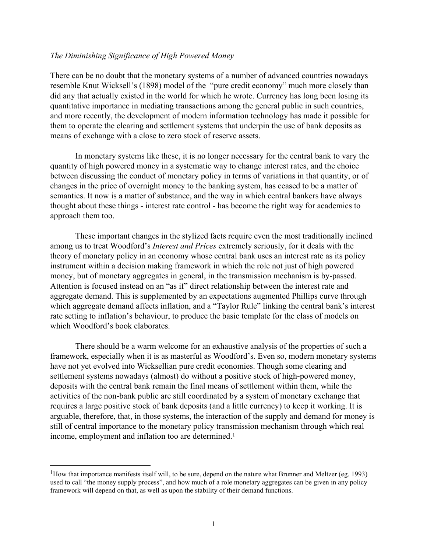#### *The Diminishing Significance of High Powered Money*

There can be no doubt that the monetary systems of a number of advanced countries nowadays resemble Knut Wicksell's (1898) model of the "pure credit economy" much more closely than did any that actually existed in the world for which he wrote. Currency has long been losing its quantitative importance in mediating transactions among the general public in such countries, and more recently, the development of modern information technology has made it possible for them to operate the clearing and settlement systems that underpin the use of bank deposits as means of exchange with a close to zero stock of reserve assets.

In monetary systems like these, it is no longer necessary for the central bank to vary the quantity of high powered money in a systematic way to change interest rates, and the choice between discussing the conduct of monetary policy in terms of variations in that quantity, or of changes in the price of overnight money to the banking system, has ceased to be a matter of semantics. It now is a matter of substance, and the way in which central bankers have always thought about these things - interest rate control - has become the right way for academics to approach them too.

These important changes in the stylized facts require even the most traditionally inclined among us to treat Woodford's *Interest and Prices* extremely seriously, for it deals with the theory of monetary policy in an economy whose central bank uses an interest rate as its policy instrument within a decision making framework in which the role not just of high powered money, but of monetary aggregates in general, in the transmission mechanism is by-passed. Attention is focused instead on an "as if" direct relationship between the interest rate and aggregate demand. This is supplemented by an expectations augmented Phillips curve through which aggregate demand affects inflation, and a "Taylor Rule" linking the central bank's interest rate setting to inflation's behaviour, to produce the basic template for the class of models on which Woodford's book elaborates.

There should be a warm welcome for an exhaustive analysis of the properties of such a framework, especially when it is as masterful as Woodford's. Even so, modern monetary systems have not yet evolved into Wicksellian pure credit economies. Though some clearing and settlement systems nowadays (almost) do without a positive stock of high-powered money, deposits with the central bank remain the final means of settlement within them, while the activities of the non-bank public are still coordinated by a system of monetary exchange that requires a large positive stock of bank deposits (and a little currency) to keep it working. It is arguable, therefore, that, in those systems, the interaction of the supply and demand for money is still of central importance to the monetary policy transmission mechanism through which real income, employment and inflation too are determined[.1](#page-3-0) 

<span id="page-3-0"></span><sup>&</sup>lt;sup>1</sup>How that importance manifests itself will, to be sure, depend on the nature what Brunner and Meltzer (eg. 1993) used to call "the money supply process", and how much of a role monetary aggregates can be given in any policy framework will depend on that, as well as upon the stability of their demand functions.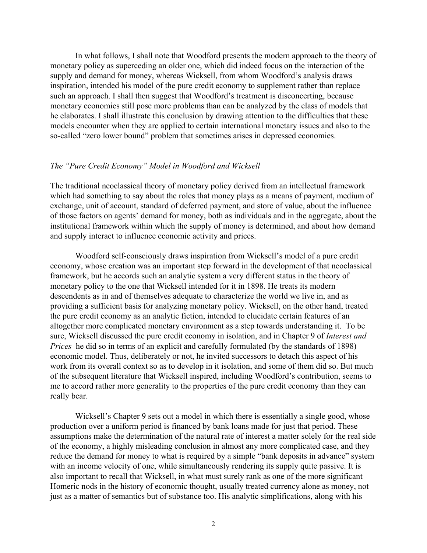In what follows, I shall note that Woodford presents the modern approach to the theory of monetary policy as superceding an older one, which did indeed focus on the interaction of the supply and demand for money, whereas Wicksell, from whom Woodford's analysis draws inspiration, intended his model of the pure credit economy to supplement rather than replace such an approach. I shall then suggest that Woodford's treatment is disconcerting, because monetary economies still pose more problems than can be analyzed by the class of models that he elaborates. I shall illustrate this conclusion by drawing attention to the difficulties that these models encounter when they are applied to certain international monetary issues and also to the so-called "zero lower bound" problem that sometimes arises in depressed economies.

#### *The "Pure Credit Economy" Model in Woodford and Wicksell*

The traditional neoclassical theory of monetary policy derived from an intellectual framework which had something to say about the roles that money plays as a means of payment, medium of exchange, unit of account, standard of deferred payment, and store of value, about the influence of those factors on agents' demand for money, both as individuals and in the aggregate, about the institutional framework within which the supply of money is determined, and about how demand and supply interact to influence economic activity and prices.

Woodford self-consciously draws inspiration from Wicksell's model of a pure credit economy, whose creation was an important step forward in the development of that neoclassical framework, but he accords such an analytic system a very different status in the theory of monetary policy to the one that Wicksell intended for it in 1898. He treats its modern descendents as in and of themselves adequate to characterize the world we live in, and as providing a sufficient basis for analyzing monetary policy. Wicksell, on the other hand, treated the pure credit economy as an analytic fiction, intended to elucidate certain features of an altogether more complicated monetary environment as a step towards understanding it. To be sure, Wicksell discussed the pure credit economy in isolation, and in Chapter 9 of *Interest and Prices* he did so in terms of an explicit and carefully formulated (by the standards of 1898) economic model. Thus, deliberately or not, he invited successors to detach this aspect of his work from its overall context so as to develop in it isolation, and some of them did so. But much of the subsequent literature that Wicksell inspired, including Woodford's contribution, seems to me to accord rather more generality to the properties of the pure credit economy than they can really bear.

Wicksell's Chapter 9 sets out a model in which there is essentially a single good, whose production over a uniform period is financed by bank loans made for just that period. These assumptions make the determination of the natural rate of interest a matter solely for the real side of the economy, a highly misleading conclusion in almost any more complicated case, and they reduce the demand for money to what is required by a simple "bank deposits in advance" system with an income velocity of one, while simultaneously rendering its supply quite passive. It is also important to recall that Wicksell, in what must surely rank as one of the more significant Homeric nods in the history of economic thought, usually treated currency alone as money, not just as a matter of semantics but of substance too. His analytic simplifications, along with his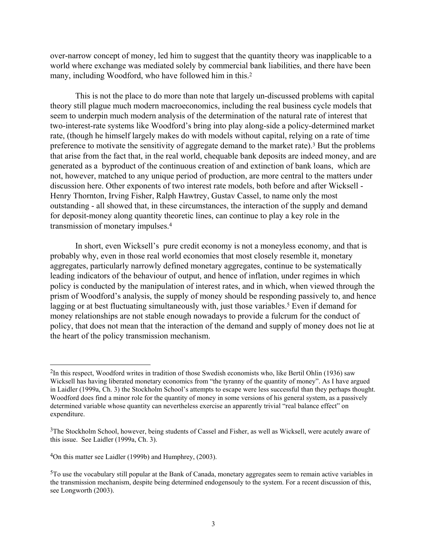over-narrow concept of money, led him to suggest that the quantity theory was inapplicable to a world where exchange was mediated solely by commercial bank liabilities, and there have been many, including Woodford, who have followed him in this.<sup>2</sup>

This is not the place to do more than note that largely un-discussed problems with capital theory still plague much modern macroeconomics, including the real business cycle models that seem to underpin much modern analysis of the determination of the natural rate of interest that two-interest-rate systems like Woodford's bring into play along-side a policy-determined market rate, (though he himself largely makes do with models without capital, relying on a rate of time preference to motivate the sensitivity of aggregate demand to the market rate)[.3](#page-5-1) But the problems that arise from the fact that, in the real world, chequable bank deposits are indeed money, and are generated as a byproduct of the continuous creation of and extinction of bank loans, which are not, however, matched to any unique period of production, are more central to the matters under discussion here. Other exponents of two interest rate models, both before and after Wicksell - Henry Thornton, Irving Fisher, Ralph Hawtrey, Gustav Cassel, to name only the most outstanding - all showed that, in these circumstances, the interaction of the supply and demand for deposit-money along quantity theoretic lines, can continue to play a key role in the transmission of monetary impulses[.4](#page-5-2)

In short, even Wicksell's pure credit economy is not a moneyless economy, and that is probably why, even in those real world economies that most closely resemble it, monetary aggregates, particularly narrowly defined monetary aggregates, continue to be systematically leading indicators of the behaviour of output, and hence of inflation, under regimes in which policy is conducted by the manipulation of interest rates, and in which, when viewed through the prism of Woodford's analysis, the supply of money should be responding passively to, and hence lagging or at best fluctuating simultaneously with, just those variables.<sup>5</sup> Even if demand for money relationships are not stable enough nowadays to provide a fulcrum for the conduct of policy, that does not mean that the interaction of the demand and supply of money does not lie at the heart of the policy transmission mechanism.

<span id="page-5-2"></span>4On this matter see Laidler (1999b) and Humphrey, (2003).

<span id="page-5-0"></span> <sup>2</sup>In this respect, Woodford writes in tradition of those Swedish economists who, like Bertil Ohlin (1936) saw Wicksell has having liberated monetary economics from "the tyranny of the quantity of money". As I have argued in Laidler (1999a, Ch. 3) the Stockholm School's attempts to escape were less successful than they perhaps thought. Woodford does find a minor role for the quantity of money in some versions of his general system, as a passively determined variable whose quantity can nevertheless exercise an apparently trivial "real balance effect" on expenditure.

<span id="page-5-1"></span><sup>3</sup>The Stockholm School, however, being students of Cassel and Fisher, as well as Wicksell, were acutely aware of this issue. See Laidler (1999a, Ch. 3).

<span id="page-5-3"></span><sup>5</sup>To use the vocabulary still popular at the Bank of Canada, monetary aggregates seem to remain active variables in the transmission mechanism, despite being determined endogensouly to the system. For a recent discussion of this, see Longworth (2003).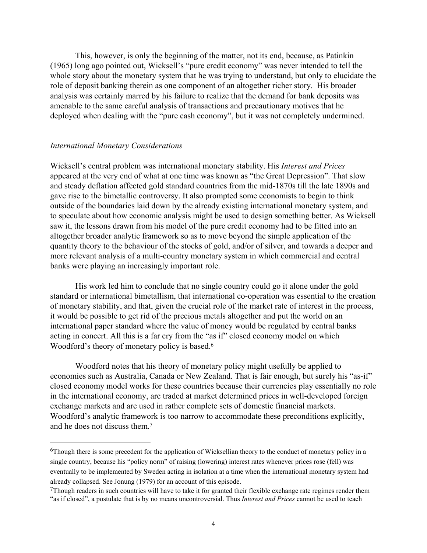This, however, is only the beginning of the matter, not its end, because, as Patinkin (1965) long ago pointed out, Wicksell's "pure credit economy" was never intended to tell the whole story about the monetary system that he was trying to understand, but only to elucidate the role of deposit banking therein as one component of an altogether richer story. His broader analysis was certainly marred by his failure to realize that the demand for bank deposits was amenable to the same careful analysis of transactions and precautionary motives that he deployed when dealing with the "pure cash economy", but it was not completely undermined.

#### *International Monetary Considerations*

 $\overline{a}$ 

Wicksell's central problem was international monetary stability. His *Interest and Prices*  appeared at the very end of what at one time was known as "the Great Depression". That slow and steady deflation affected gold standard countries from the mid-1870s till the late 1890s and gave rise to the bimetallic controversy. It also prompted some economists to begin to think outside of the boundaries laid down by the already existing international monetary system, and to speculate about how economic analysis might be used to design something better. As Wicksell saw it, the lessons drawn from his model of the pure credit economy had to be fitted into an altogether broader analytic framework so as to move beyond the simple application of the quantity theory to the behaviour of the stocks of gold, and/or of silver, and towards a deeper and more relevant analysis of a multi-country monetary system in which commercial and central banks were playing an increasingly important role.

His work led him to conclude that no single country could go it alone under the gold standard or international bimetallism, that international co-operation was essential to the creation of monetary stability, and that, given the crucial role of the market rate of interest in the process, it would be possible to get rid of the precious metals altogether and put the world on an international paper standard where the value of money would be regulated by central banks acting in concert. All this is a far cry from the "as if" closed economy model on which Woodford's theory of monetary policy is based.<sup>6</sup>

Woodford notes that his theory of monetary policy might usefully be applied to economies such as Australia, Canada or New Zealand. That is fair enough, but surely his "as-if" closed economy model works for these countries because their currencies play essentially no role in the international economy, are traded at market determined prices in well-developed foreign exchange markets and are used in rather complete sets of domestic financial markets. Woodford's analytic framework is too narrow to accommodate these preconditions explicitly, and he does not discuss them. [7](#page-6-1) 

<span id="page-6-0"></span><sup>6</sup>Though there is some precedent for the application of Wicksellian theory to the conduct of monetary policy in a single country, because his "policy norm" of raising (lowering) interest rates whenever prices rose (fell) was eventually to be implemented by Sweden acting in isolation at a time when the international monetary system had already collapsed. See Jonung (1979) for an account of this episode.

<span id="page-6-1"></span> $7$ Though readers in such countries will have to take it for granted their flexible exchange rate regimes render them "as if closed", a postulate that is by no means uncontroversial. Thus *Interest and Prices* cannot be used to teach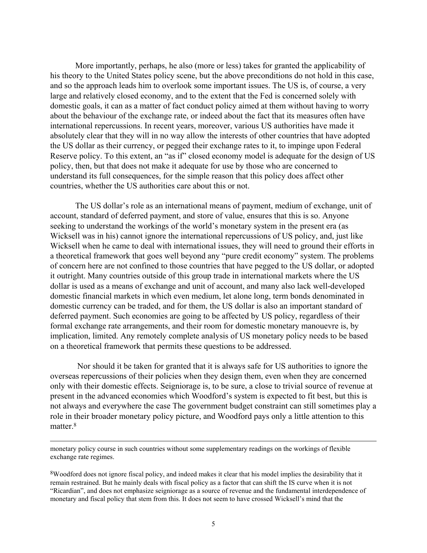More importantly, perhaps, he also (more or less) takes for granted the applicability of his theory to the United States policy scene, but the above preconditions do not hold in this case, and so the approach leads him to overlook some important issues. The US is, of course, a very large and relatively closed economy, and to the extent that the Fed is concerned solely with domestic goals, it can as a matter of fact conduct policy aimed at them without having to worry about the behaviour of the exchange rate, or indeed about the fact that its measures often have international repercussions. In recent years, moreover, various US authorities have made it absolutely clear that they will in no way allow the interests of other countries that have adopted the US dollar as their currency, or pegged their exchange rates to it, to impinge upon Federal Reserve policy. To this extent, an "as if" closed economy model is adequate for the design of US policy, then, but that does not make it adequate for use by those who are concerned to understand its full consequences, for the simple reason that this policy does affect other countries, whether the US authorities care about this or not.

The US dollar's role as an international means of payment, medium of exchange, unit of account, standard of deferred payment, and store of value, ensures that this is so. Anyone seeking to understand the workings of the world's monetary system in the present era (as Wicksell was in his) cannot ignore the international repercussions of US policy, and, just like Wicksell when he came to deal with international issues, they will need to ground their efforts in a theoretical framework that goes well beyond any "pure credit economy" system. The problems of concern here are not confined to those countries that have pegged to the US dollar, or adopted it outright. Many countries outside of this group trade in international markets where the US dollar is used as a means of exchange and unit of account, and many also lack well-developed domestic financial markets in which even medium, let alone long, term bonds denominated in domestic currency can be traded, and for them, the US dollar is also an important standard of deferred payment. Such economies are going to be affected by US policy, regardless of their formal exchange rate arrangements, and their room for domestic monetary manouevre is, by implication, limited. Any remotely complete analysis of US monetary policy needs to be based on a theoretical framework that permits these questions to be addressed.

 Nor should it be taken for granted that it is always safe for US authorities to ignore the overseas repercussions of their policies when they design them, even when they are concerned only with their domestic effects. Seigniorage is, to be sure, a close to trivial source of revenue at present in the advanced economies which Woodford's system is expected to fit best, but this is not always and everywhere the case The government budget constraint can still sometimes play a role in their broader monetary policy picture, and Woodford pays only a little attention to this matter<sup>8</sup>

 $\overline{a}$ 

monetary policy course in such countries without some supplementary readings on the workings of flexible exchange rate regimes.

<span id="page-7-0"></span><sup>8</sup>Woodford does not ignore fiscal policy, and indeed makes it clear that his model implies the desirability that it remain restrained. But he mainly deals with fiscal policy as a factor that can shift the IS curve when it is not "Ricardian", and does not emphasize seigniorage as a source of revenue and the fundamental interdependence of monetary and fiscal policy that stem from this. It does not seem to have crossed Wicksell's mind that the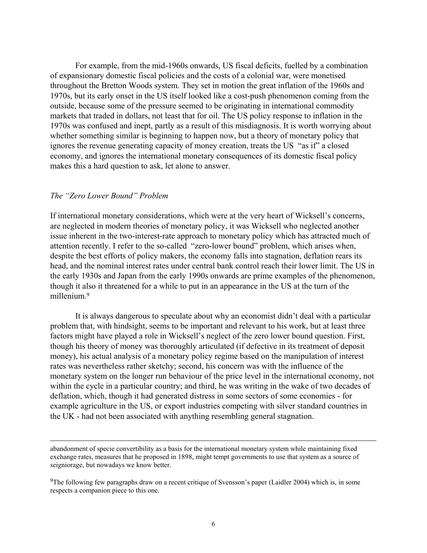For example, from the mid-1960s onwards, US fiscal deficits, fuelled by a combination of expansionary domestic fiscal policies and the costs of a colonial war, were monetised throughout the Bretton Woods system. They set in motion the great inflation of the 1960s and 1970s, but its early onset in the US itself looked like a cost-push phenomenon coming from the outside, because some of the pressure seemed to be originating in international commodity markets that traded in dollars, not least that for oil. The US policy response to inflation in the 1970s was confused and inept, partly as a result of this misdiagnosis. It is worth worrying about whether something similar is beginning to happen now, but a theory of monetary policy that ignores the revenue generating capacity of money creation, treats the US "as if" a closed economy, and ignores the international monetary consequences of its domestic fiscal policy makes this a hard question to ask, let alone to answer.

#### *The "Zero Lower Bound" Problem*

 $\overline{a}$ 

If international monetary considerations, which were at the very heart of Wicksell's concerns, are neglected in modern theories of monetary policy, it was Wicksell who neglected another issue inherent in the two-interest-rate approach to monetary policy which has attracted much of attention recently. I refer to the so-called "zero-lower bound" problem, which arises when, despite the best efforts of policy makers, the economy falls into stagnation, deflation rears its head, and the nominal interest rates under central bank control reach their lower limit. The US in the early 1930s and Japan from the early 1990s onwards are prime examples of the phenomenon, though it also it threatened for a while to put in an appearance in the US at the turn of the millenium. [9](#page-8-0) 

It is always dangerous to speculate about why an economist didn't deal with a particular problem that, with hindsight, seems to be important and relevant to his work, but at least three factors might have played a role in Wicksell's neglect of the zero lower bound question. First, though his theory of money was thoroughly articulated (if defective in its treatment of deposit money), his actual analysis of a monetary policy regime based on the manipulation of interest rates was nevertheless rather sketchy; second, his concern was with the influence of the monetary system on the longer run behaviour of the price level in the international economy, not within the cycle in a particular country; and third, he was writing in the wake of two decades of deflation, which, though it had generated distress in some sectors of some economies - for example agriculture in the US, or export industries competing with silver standard countries in the UK - had not been associated with anything resembling general stagnation.

abandonment of specie convertibility as a basis for the international monetary system while maintaining fixed exchange rates, measures that he proposed in 1898, might tempt governments to use that system as a source of seigniorage, but nowadays we know better.

<span id="page-8-0"></span><sup>9</sup>The following few paragraphs draw on a recent critique of Svensson's paper (Laidler 2004) which is, in some respects a companion piece to this one.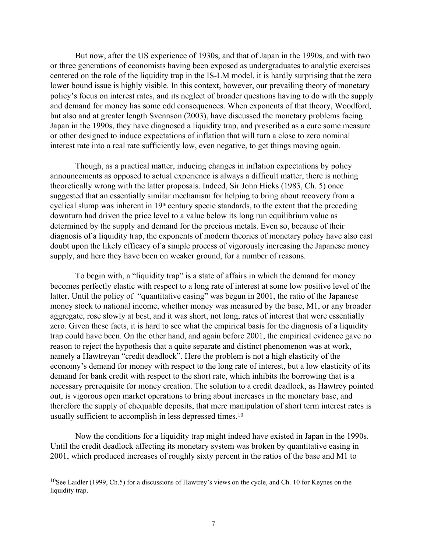But now, after the US experience of 1930s, and that of Japan in the 1990s, and with two or three generations of economists having been exposed as undergraduates to analytic exercises centered on the role of the liquidity trap in the IS-LM model, it is hardly surprising that the zero lower bound issue is highly visible. In this context, however, our prevailing theory of monetary policy's focus on interest rates, and its neglect of broader questions having to do with the supply and demand for money has some odd consequences. When exponents of that theory, Woodford, but also and at greater length Svennson (2003), have discussed the monetary problems facing Japan in the 1990s, they have diagnosed a liquidity trap, and prescribed as a cure some measure or other designed to induce expectations of inflation that will turn a close to zero nominal interest rate into a real rate sufficiently low, even negative, to get things moving again.

Though, as a practical matter, inducing changes in inflation expectations by policy announcements as opposed to actual experience is always a difficult matter, there is nothing theoretically wrong with the latter proposals. Indeed, Sir John Hicks (1983, Ch. 5) once suggested that an essentially similar mechanism for helping to bring about recovery from a cyclical slump was inherent in  $19<sup>th</sup>$  century specie standards, to the extent that the preceding downturn had driven the price level to a value below its long run equilibrium value as determined by the supply and demand for the precious metals. Even so, because of their diagnosis of a liquidity trap, the exponents of modern theories of monetary policy have also cast doubt upon the likely efficacy of a simple process of vigorously increasing the Japanese money supply, and here they have been on weaker ground, for a number of reasons.

To begin with, a "liquidity trap" is a state of affairs in which the demand for money becomes perfectly elastic with respect to a long rate of interest at some low positive level of the latter. Until the policy of "quantitative easing" was begun in 2001, the ratio of the Japanese money stock to national income, whether money was measured by the base, M1, or any broader aggregate, rose slowly at best, and it was short, not long, rates of interest that were essentially zero. Given these facts, it is hard to see what the empirical basis for the diagnosis of a liquidity trap could have been. On the other hand, and again before 2001, the empirical evidence gave no reason to reject the hypothesis that a quite separate and distinct phenomenon was at work, namely a Hawtreyan "credit deadlock". Here the problem is not a high elasticity of the economy's demand for money with respect to the long rate of interest, but a low elasticity of its demand for bank credit with respect to the short rate, which inhibits the borrowing that is a necessary prerequisite for money creation. The solution to a credit deadlock, as Hawtrey pointed out, is vigorous open market operations to bring about increases in the monetary base, and therefore the supply of chequable deposits, that mere manipulation of short term interest rates is usually sufficient to accomplish in less depressed times.[10](#page-9-0)

Now the conditions for a liquidity trap might indeed have existed in Japan in the 1990s. Until the credit deadlock affecting its monetary system was broken by quantitative easing in 2001, which produced increases of roughly sixty percent in the ratios of the base and M1 to

<span id="page-9-0"></span> $10$ See Laidler (1999, Ch.5) for a discussions of Hawtrey's views on the cycle, and Ch. 10 for Keynes on the liquidity trap.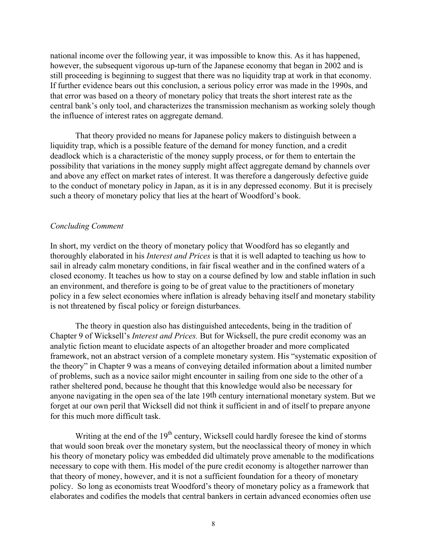national income over the following year, it was impossible to know this. As it has happened, however, the subsequent vigorous up-turn of the Japanese economy that began in 2002 and is still proceeding is beginning to suggest that there was no liquidity trap at work in that economy. If further evidence bears out this conclusion, a serious policy error was made in the 1990s, and that error was based on a theory of monetary policy that treats the short interest rate as the central bank's only tool, and characterizes the transmission mechanism as working solely though the influence of interest rates on aggregate demand.

That theory provided no means for Japanese policy makers to distinguish between a liquidity trap, which is a possible feature of the demand for money function, and a credit deadlock which is a characteristic of the money supply process, or for them to entertain the possibility that variations in the money supply might affect aggregate demand by channels over and above any effect on market rates of interest. It was therefore a dangerously defective guide to the conduct of monetary policy in Japan, as it is in any depressed economy. But it is precisely such a theory of monetary policy that lies at the heart of Woodford's book.

#### *Concluding Comment*

In short, my verdict on the theory of monetary policy that Woodford has so elegantly and thoroughly elaborated in his *Interest and Prices* is that it is well adapted to teaching us how to sail in already calm monetary conditions, in fair fiscal weather and in the confined waters of a closed economy. It teaches us how to stay on a course defined by low and stable inflation in such an environment, and therefore is going to be of great value to the practitioners of monetary policy in a few select economies where inflation is already behaving itself and monetary stability is not threatened by fiscal policy or foreign disturbances.

The theory in question also has distinguished antecedents, being in the tradition of Chapter 9 of Wicksell's *Interest and Prices.* But for Wicksell, the pure credit economy was an analytic fiction meant to elucidate aspects of an altogether broader and more complicated framework, not an abstract version of a complete monetary system. His "systematic exposition of the theory" in Chapter 9 was a means of conveying detailed information about a limited number of problems, such as a novice sailor might encounter in sailing from one side to the other of a rather sheltered pond, because he thought that this knowledge would also be necessary for anyone navigating in the open sea of the late 19th century international monetary system. But we forget at our own peril that Wicksell did not think it sufficient in and of itself to prepare anyone for this much more difficult task.

Writing at the end of the  $19<sup>th</sup>$  century, Wicksell could hardly foresee the kind of storms that would soon break over the monetary system, but the neoclassical theory of money in which his theory of monetary policy was embedded did ultimately prove amenable to the modifications necessary to cope with them. His model of the pure credit economy is altogether narrower than that theory of money, however, and it is not a sufficient foundation for a theory of monetary policy. So long as economists treat Woodford's theory of monetary policy as a framework that elaborates and codifies the models that central bankers in certain advanced economies often use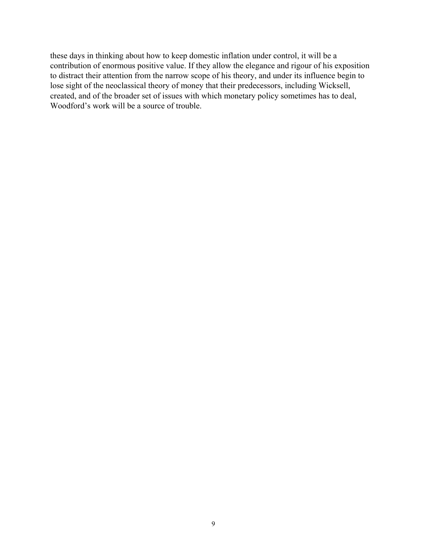these days in thinking about how to keep domestic inflation under control, it will be a contribution of enormous positive value. If they allow the elegance and rigour of his exposition to distract their attention from the narrow scope of his theory, and under its influence begin to lose sight of the neoclassical theory of money that their predecessors, including Wicksell, created, and of the broader set of issues with which monetary policy sometimes has to deal, Woodford's work will be a source of trouble.